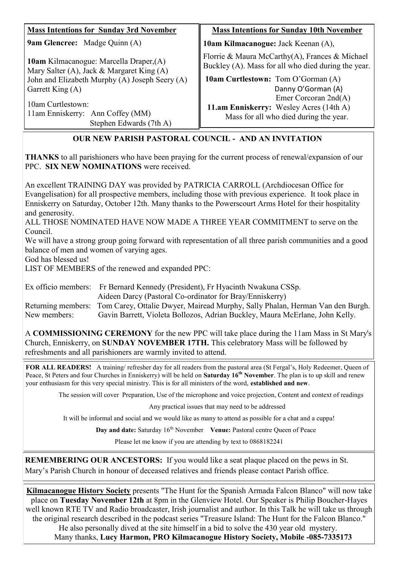| <b>Mass Intentions for Sunday 3rd November</b>                                       | <b>Mass Intentions for Sunday 10th November</b>                                                             |
|--------------------------------------------------------------------------------------|-------------------------------------------------------------------------------------------------------------|
| <b>9am Glencree:</b> Madge Quinn (A)                                                 | 10am Kilmacanogue: Jack Keenan (A),                                                                         |
| 10am Kilmacanogue: Marcella Draper, (A)<br>Mary Salter (A), Jack & Margaret King (A) | Florrie & Maura McCarthy(A), Frances & Michael<br>Buckley (A). Mass for all who died during the year.       |
| John and Elizabeth Murphy (A) Joseph Seery (A)                                       | <b>10am Curtlestown:</b> Tom O'Gorman (A)                                                                   |
| Garrett King (A)                                                                     | Danny O'Gorman (A)                                                                                          |
| 10am Curtlestown:<br>11am Enniskerry: Ann Coffey (MM)<br>Stephen Edwards (7th A)     | Emer Corcoran $2nd(A)$<br>11.am Enniskerry: Wesley Acres (14th A)<br>Mass for all who died during the year. |

# **OUR NEW PARISH PASTORAL COUNCIL - AND AN INVITATION**

**THANKS** to all parishioners who have been praying for the current process of renewal/expansion of our PPC. **SIX NEW NOMINATIONS** were received.

An excellent TRAINING DAY was provided by PATRICIA CARROLL (Archdiocesan Office for Evangelisation) for all prospective members, including those with previous experience. It took place in Enniskerry on Saturday, October 12th. Many thanks to the Powerscourt Arms Hotel for their hospitality and generosity.

ALL THOSE NOMINATED HAVE NOW MADE A THREE YEAR COMMITMENT to serve on the Council.

We will have a strong group going forward with representation of all three parish communities and a good balance of men and women of varying ages.

God has blessed us!

LIST OF MEMBERS of the renewed and expanded PPC:

Ex officio members: Fr Bernard Kennedy (President), Fr Hyacinth Nwakuna CSSp. Aideen Darcy (Pastoral Co-ordinator for Bray/Enniskerry) Returning members: Tom Carey, Ottalie Dwyer, Mairead Murphy, Sally Phalan, Herman Van den Burgh. New members: Gavin Barrett, Violeta Bollozos, Adrian Buckley, Maura McErlane, John Kelly.

A **COMMISSIONING CEREMONY** for the new PPC will take place during the 11am Mass in St Mary's Church, Enniskerry, on **SUNDAY NOVEMBER 17TH.** This celebratory Mass will be followed by refreshments and all parishioners are warmly invited to attend.

**FOR ALL READERS!** A training/ refresher day for all readers from the pastoral area (St Fergal's, Holy Redeemer, Queen of Peace, St Peters and four Churches in Enniskerry) will be held on **Saturday 16th November**. The plan is to up skill and renew your enthusiasm for this very special ministry. This is for all ministers of the word, **established and new**.

The session will cover Preparation, Use of the microphone and voice projection, Content and context of readings

Any practical issues that may need to be addressed

It will be informal and social and we would like as many to attend as possible for a chat and a cuppa!

**Day and date:** Saturday 16<sup>th</sup> November **Venue:** Pastoral centre Queen of Peace

Please let me know if you are attending by text to 0868182241

**REMEMBERING OUR ANCESTORS:** If you would like a seat plaque placed on the pews in St. Mary's Parish Church in honour of deceased relatives and friends please contact Parish office.

**Kilmacanogue History Society** presents "The Hunt for the Spanish Armada Falcon Blanco" will now take place on **Tuesday November 12th** at 8pm in the Glenview Hotel. Our Speaker is Philip Boucher-Hayes well known RTE TV and Radio broadcaster, Irish journalist and author. In this Talk he will take us through the original research described in the podcast series "Treasure Island: The Hunt for the Falcon Blanco." He also personally dived at the site himself in a bid to solve the 430 year old mystery.

Many thanks, **Lucy Harmon, PRO Kilmacanogue History Society, Mobile -085-7335173**